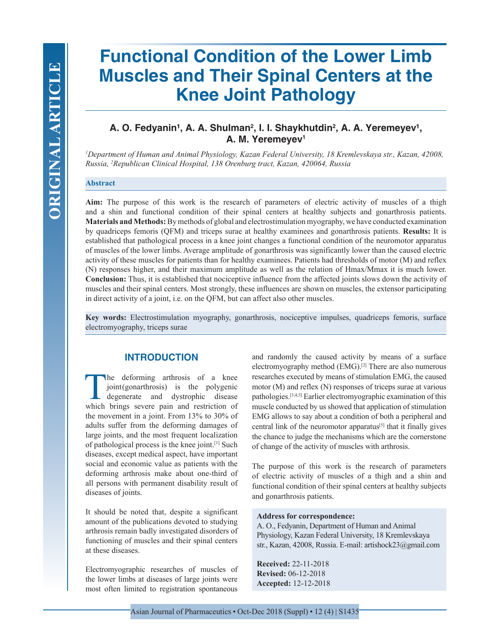# **Functional Condition of the Lower Limb Muscles and Their Spinal Centers at the Knee Joint Pathology**

## A. O. Fedyanin<sup>1</sup>, A. A. Shulman<sup>2</sup>, I. I. Shaykhutdin<sup>2</sup>, A. A. Yeremeyev<sup>1</sup>, **A. M. Yeremeyev1**

*1 Department of Human and Animal Physiology, Kazan Federal University, 18 Kremlevskaya str., Kazan, 42008, Russia, 2 Republican Clinical Hospital, 138 Orenburg tract, Kazan, 420064, Russia*

#### **Abstract**

**Aim:** The purpose of this work is the research of parameters of electric activity of muscles of a thigh and a shin and functional condition of their spinal centers at healthy subjects and gonarthrosis patients. **Materials and Methods:** By methods of global and electrostimulation myography, we have conducted examination by quadriceps femoris (QFM) and triceps surae at healthy examinees and gonarthrosis patients. **Results:** It is established that pathological process in a knee joint changes a functional condition of the neuromotor apparatus of muscles of the lower limbs. Average amplitude of gonarthrosis was significantly lower than the caused electric activity of these muscles for patients than for healthy examinees. Patients had thresholds of motor (M) and reflex (N) responses higher, and their maximum amplitude as well as the relation of Hmax/Mmax it is much lower. **Conclusion:** Thus, it is established that nociceptive influence from the affected joints slows down the activity of muscles and their spinal centers. Most strongly, these influences are shown on muscles, the extensor participating in direct activity of a joint, i.e. on the QFM, but can affect also other muscles.

**Key words:** Electrostimulation myography, gonarthrosis, nociceptive impulses, quadriceps femoris, surface electromyography, triceps surae

#### **INTRODUCTION**

The deforming arthrosis of a knee<br>joint(gonarthrosis) is the polygenic<br>degenerate and dystrophic disease<br>which brings severe pain and restriction of joint (gonarthrosis) is the polygenic degenerate and dystrophic disease which brings severe pain and restriction of the movement in a joint. From 13% to 30% of adults suffer from the deforming damages of large joints, and the most frequent localization of pathological process is the knee joint.[1] Such diseases, except medical aspect, have important social and economic value as patients with the deforming arthrosis make about one-third of all persons with permanent disability result of diseases of joints.

It should be noted that, despite a significant amount of the publications devoted to studying arthrosis remain badly investigated disorders of functioning of muscles and their spinal centers at these diseases.

Electromyographic researches of muscles of the lower limbs at diseases of large joints were most often limited to registration spontaneous

and randomly the caused activity by means of a surface electromyography method (EMG).[2] There are also numerous researches executed by means of stimulation EMG, the caused motor (M) and reflex (N) responses of triceps surae at various pathologies.[3,4,5] Earlier electromyographic examination of this muscle conducted by us showed that application of stimulation EMG allows to say about a condition of both a peripheral and central link of the neuromotor apparatus<sup>[5]</sup> that it finally gives the chance to judge the mechanisms which are the cornerstone of change of the activity of muscles with arthrosis.

The purpose of this work is the research of parameters of electric activity of muscles of a thigh and a shin and functional condition of their spinal centers at healthy subjects and gonarthrosis patients.

#### **Address for correspondence:**

A. O., Fedyanin, Department of Human and Animal Physiology, Kazan Federal University, 18 Kremlevskaya str., Kazan, 42008, Russia. E-mail: artishock23@gmail.com

**Received:** 22-11-2018 **Revised:** 06-12-2018 **Accepted:** 12-12-2018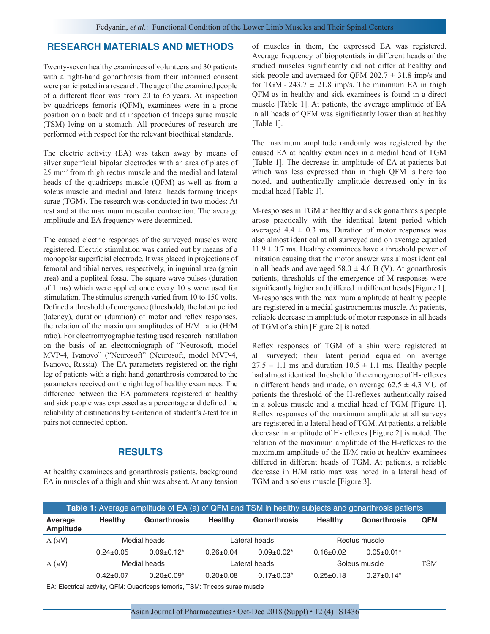#### **RESEARCH MATERIALS AND METHODS**

Twenty-seven healthy examinees of volunteers and 30 patients with a right-hand gonarthrosis from their informed consent were participated in a research. The age of the examined people of a different floor was from 20 to 65 years. At inspection by quadriceps femoris (QFM), examinees were in a prone position on a back and at inspection of triceps surae muscle (TSM) lying on a stomach. All procedures of research are performed with respect for the relevant bioethical standards.

The electric activity (EA) was taken away by means of silver superficial bipolar electrodes with an area of plates of 25 mm2 from thigh rectus muscle and the medial and lateral heads of the quadriceps muscle (QFM) as well as from a soleus muscle and medial and lateral heads forming triceps surae (TGM). The research was conducted in two modes: At rest and at the maximum muscular contraction. The average amplitude and EA frequency were determined.

The caused electric responses of the surveyed muscles were registered. Electric stimulation was carried out by means of a monopolar superficial electrode. It was placed in projections of femoral and tibial nerves, respectively, in inguinal area (groin area) and a popliteal fossa. The square wave pulses (duration of 1 ms) which were applied once every 10 s were used for stimulation. The stimulus strength varied from 10 to 150 volts. Defined a threshold of emergence (threshold), the latent period (latency), duration (duration) of motor and reflex responses, the relation of the maximum amplitudes of H/M ratio (H/M ratio). For electromyographic testing used research installation on the basis of an electromiograph of "Neurosoft, model MVP-4, Ivanovo" ("Neurosoft" (Neurosoft, model MVP-4, Ivanovo, Russia). The EA parameters registered on the right leg of patients with a right hand gonarthrosis compared to the parameters received on the right leg of healthy examinees. The difference between the EA parameters registered at healthy and sick people was expressed as a percentage and defined the reliability of distinctions by t-criterion of student's *t*-test for in pairs not connected option.

#### **RESULTS**

At healthy examinees and gonarthrosis patients, background EA in muscles of a thigh and shin was absent. At any tension of muscles in them, the expressed EA was registered. Average frequency of biopotentials in different heads of the studied muscles significantly did not differ at healthy and sick people and averaged for QFM 202.7  $\pm$  31.8 imp/s and for TGM -  $243.7 \pm 21.8$  imp/s. The minimum EA in thigh QFM as in healthy and sick examinees is found in a direct muscle [Table 1]. At patients, the average amplitude of EA in all heads of QFM was significantly lower than at healthy [Table 1].

The maximum amplitude randomly was registered by the caused EA at healthy examinees in a medial head of TGM [Table 1]. The decrease in amplitude of EA at patients but which was less expressed than in thigh QFM is here too noted, and authentically amplitude decreased only in its medial head [Table 1].

M-responses in TGM at healthy and sick gonarthrosis people arose practically with the identical latent period which averaged  $4.4 \pm 0.3$  ms. Duration of motor responses was also almost identical at all surveyed and on average equaled  $11.9 \pm 0.7$  ms. Healthy examinees have a threshold power of irritation causing that the motor answer was almost identical in all heads and averaged  $58.0 \pm 4.6$  B (V). At gonarthrosis patients, thresholds of the emergence of M-responses were significantly higher and differed in different heads [Figure 1]. M-responses with the maximum amplitude at healthy people are registered in a medial gastrocnemius muscle. At patients, reliable decrease in amplitude of motor responses in all heads of TGM of a shin [Figure 2] is noted.

Reflex responses of TGM of a shin were registered at all surveyed; their latent period equaled on average  $27.5 \pm 1.1$  ms and duration  $10.5 \pm 1.1$  ms. Healthy people had almost identical threshold of the emergence of H-reflexes in different heads and made, on average  $62.5 \pm 4.3$  V.U of patients the threshold of the H-reflexes authentically raised in a soleus muscle and a medial head of TGM [Figure 1]. Reflex responses of the maximum amplitude at all surveys are registered in a lateral head of TGM. At patients, a reliable decrease in amplitude of H-reflexes [Figure 2] is noted. The relation of the maximum amplitude of the H-reflexes to the maximum amplitude of the H/M ratio at healthy examinees differed in different heads of TGM. At patients, a reliable decrease in H/M ratio max was noted in a lateral head of TGM and a soleus muscle [Figure 3].

| Table 1: Average amplitude of EA (a) of QFM and TSM in healthy subjects and gonarthrosis patients |                 |                     |                 |                   |                 |                              |            |
|---------------------------------------------------------------------------------------------------|-----------------|---------------------|-----------------|-------------------|-----------------|------------------------------|------------|
| Average<br>Amplitude                                                                              | <b>Healthy</b>  | <b>Gonarthrosis</b> | <b>Healthy</b>  | Gonarthrosis      | <b>Healthy</b>  | <b>Gonarthrosis</b>          | <b>QFM</b> |
| A (MV)                                                                                            | Medial heads    |                     | Lateral heads   |                   | Rectus muscle   |                              |            |
|                                                                                                   | $0.24 \pm 0.05$ | $0.09 \pm 0.12^*$   | $0.26 \pm 0.04$ | $0.09 + 0.02*$    | $0.16 \pm 0.02$ | $0.05 \pm 0.01*$             |            |
| A (MV)                                                                                            | Medial heads    |                     | Lateral heads   |                   | Soleus muscle   |                              | <b>TSM</b> |
|                                                                                                   | $0.42 \pm 0.07$ | $0.20 \pm 0.09^*$   | $0.20 \pm 0.08$ | $0.17 \pm 0.03^*$ | $0.25 \pm 0.18$ | $0.27 \pm 0.14$ <sup>*</sup> |            |

EA: Electrical activity, QFM: Quadriceps femoris, TSM: Triceps surae muscle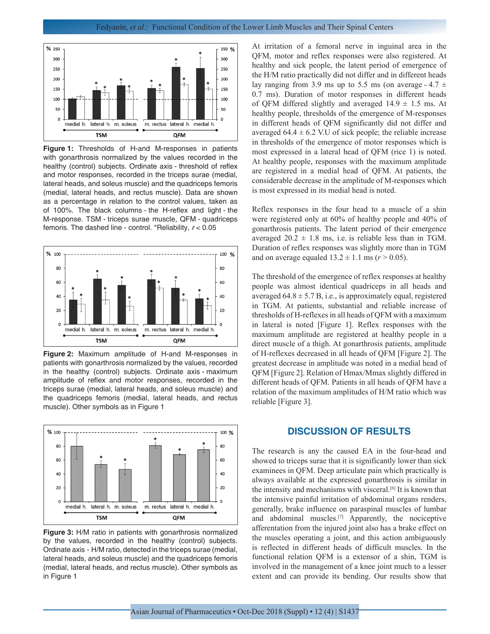

**Figure 1:** Thresholds of H-and M-responses in patients with gonarthrosis normalized by the values recorded in the healthy (control) subjects. Ordinate axis - threshold of reflex and motor responses, recorded in the triceps surae (medial, lateral heads, and soleus muscle) and the quadriceps femoris (medial, lateral heads, and rectus muscle). Data are shown as a percentage in relation to the control values, taken as of 100%. The black columns - the H-reflex and light - the M-response. TSM - triceps surae muscle, QFM - quadriceps femoris. The dashed line - control. \*Reliability, *r* < 0.05



**Figure 2:** Maximum amplitude of H-and M-responses in patients with gonarthrosis normalized by the values, recorded in the healthy (control) subjects. Ordinate axis - maximum amplitude of reflex and motor responses, recorded in the triceps surae (medial, lateral heads, and soleus muscle) and the quadriceps femoris (medial, lateral heads, and rectus muscle). Other symbols as in Figure 1



**Figure 3:** H/M ratio in patients with gonarthrosis normalized by the values, recorded in the healthy (control) subjects. Ordinate axis - H/M ratio, detected in the triceps surae (medial, lateral heads, and soleus muscle) and the quadriceps femoris (medial, lateral heads, and rectus muscle). Other symbols as in Figure 1

At irritation of a femoral nerve in inguinal area in the QFM, motor and reflex responses were also registered. At healthy and sick people, the latent period of emergence of the H/M ratio practically did not differ and in different heads lay ranging from 3.9 ms up to 5.5 ms (on average - 4.7  $\pm$ 0.7 ms). Duration of motor responses in different heads of QFM differed slightly and averaged  $14.9 \pm 1.5$  ms. At healthy people, thresholds of the emergence of M-responses in different heads of QFM significantly did not differ and averaged  $64.4 \pm 6.2$  V.U of sick people; the reliable increase in thresholds of the emergence of motor responses which is most expressed in a lateral head of QFM (rice 1) is noted. At healthy people, responses with the maximum amplitude are registered in a medial head of QFM. At patients, the considerable decrease in the amplitude of M-responses which is most expressed in its medial head is noted.

Reflex responses in the four head to a muscle of a shin were registered only at 60% of healthy people and 40% of gonarthrosis patients. The latent period of their emergence averaged  $20.2 \pm 1.8$  ms, i.e. is reliable less than in TGM. Duration of reflex responses was slightly more than in TGM and on average equaled  $13.2 \pm 1.1$  ms ( $r > 0.05$ ).

The threshold of the emergence of reflex responses at healthy people was almost identical quadriceps in all heads and averaged  $64.8 \pm 5.7$  B, i.e., is approximately equal, registered in TGM. At patients, substantial and reliable increase of thresholds of H-reflexes in all heads of QFM with a maximum in lateral is noted [Figure 1]. Reflex responses with the maximum amplitude are registered at healthy people in a direct muscle of a thigh. At gonarthrosis patients, amplitude of H-reflexes decreased in all heads of QFM [Figure 2]. The greatest decrease in amplitude was noted in a medial head of QFM [Figure 2]. Relation of Hmax/Mmax slightly differed in different heads of QFM. Patients in all heads of QFM have a relation of the maximum amplitudes of H/M ratio which was reliable [Figure 3].

### **DISCUSSION OF RESULTS**

The research is any the caused EA in the four-head and showed to triceps surae that it is significantly lower than sick examinees in QFM. Deep articulate pain which practically is always available at the expressed gonarthrosis is similar in the intensity and mechanisms with visceral.<sup>[6]</sup> It is known that the intensive painful irritation of abdominal organs renders, generally, brake influence on paraspinal muscles of lumbar and abdominal muscles.[7] Apparently, the nociceptive afferentation from the injured joint also has a brake effect on the muscles operating a joint, and this action ambiguously is reflected in different heads of difficult muscles. In the functional relation QFM is a extensor of a shin, TGM is involved in the management of a knee joint much to a lesser extent and can provide its bending. Our results show that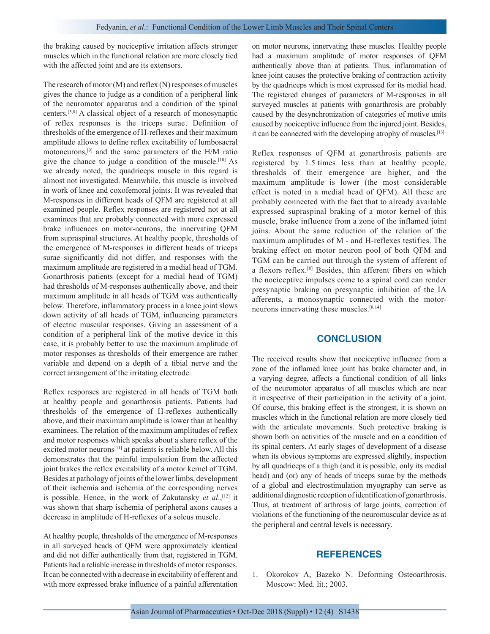the braking caused by nociceptive irritation affects stronger muscles which in the functional relation are more closely tied with the affected joint and are its extensors.

The research of motor (M) and reflex (N) responses of muscles gives the chance to judge as a condition of a peripheral link of the neuromotor apparatus and a condition of the spinal centers.[5,8] A classical object of a research of monosynaptic of reflex responses is the triceps surae . Definition of thresholds of the emergence of H-reflexes and their maximum amplitude allows to define reflex excitability of lumbosacral motoneurons,[9] and the same parameters of the H/M ratio give the chance to judge a condition of the muscle.[10] As we already noted, the quadriceps muscle in this regard is almost not investigated. Meanwhile, this muscle is involved in work of knee and coxofemoral joints. It was revealed that M-responses in different heads of QFM are registered at all examined people. Reflex responses are registered not at all examinees that are probably connected with more expressed brake influences on motor-neurons, the innervating QFM from supraspinal structures. At healthy people, thresholds of the emergence of M-responses in different heads of triceps surae significantly did not differ, and responses with the maximum amplitude are registered in a medial head of TGM. Gonarthrosis patients (except for a medial head of TGM) had thresholds of M-responses authentically above, and their maximum amplitude in all heads of TGM was authentically below. Therefore, inflammatory process in a knee joint slows down activity of all heads of TGM, influencing parameters of electric muscular responses. Giving an assessment of a condition of a peripheral link of the motive device in this case, it is probably better to use the maximum amplitude of motor responses as thresholds of their emergence are rather variable and depend on a depth of a tibial nerve and the correct arrangement of the irritating electrode.

Reflex responses are registered in all heads of TGM both at healthy people and gonarthrosis patients. Patients had thresholds of the emergence of H-reflexes authentically above, and their maximum amplitude is lower than at healthy examinees. The relation of the maximum amplitudes of reflex and motor responses which speaks about a share reflex of the excited motor neurons<sup>[11]</sup> at patients is reliable below. All this demonstrates that the painful impulsation from the affected joint brakes the reflex excitability of a motor kernel of TGM. Besides at pathology of joints of the lower limbs, development of their ischemia and ischemia of the corresponding nerves is possible. Hence, in the work of Zakutansky *et al.*,<sup>[12]</sup> it was shown that sharp ischemia of peripheral axons causes a decrease in amplitude of H-reflexes of a soleus muscle.

At healthy people, thresholds of the emergence of M-responses in all surveyed heads of QFM were approximately identical and did not differ authentically from that, registered in TGM. Patients had a reliable increase in thresholds of motor responses. It can be connected with a decrease in excitability of efferent and with more expressed brake influence of a painful afferentation on motor neurons, innervating these muscles. Healthy people had a maximum amplitude of motor responses of QFM authentically above than at patients. Thus, inflammation of knee joint causes the protective braking of contraction activity by the quadriceps which is most expressed for its medial head. The registered changes of parameters of M-responses in all surveyed muscles at patients with gonarthrosis are probably caused by the desynchronization of categories of motive units caused by nociceptive influence from the injured joint. Besides, it can be connected with the developing atrophy of muscles.[13]

Reflex responses of QFM at gonarthrosis patients are registered by 1.5 times less than at healthy people, thresholds of their emergence are higher, and the maximum amplitude is lower (the most considerable effect is noted in a medial head of QFM). All these are probably connected with the fact that to already available expressed supraspinal braking of a motor kernel of this muscle, brake influence from a zone of the inflamed joint joins. About the same reduction of the relation of the maximum amplitudes of M - and H-reflexes testifies. The braking effect on motor neuron pool of both QFM and TGM can be carried out through the system of afferent of a flexors reflex.[8] Besides, thin afferent fibers on which the nociceptive impulses come to a spinal cord can render presynaptic braking on presynaptic inhibition of the IA afferents, a monosynaptic connected with the motorneurons innervating these muscles.[8,14]

#### **CONCLUSION**

The received results show that nociceptive influence from a zone of the inflamed knee joint has brake character and, in a varying degree, affects a functional condition of all links of the neuromotor apparatus of all muscles which are near it irrespective of their participation in the activity of a joint. Of course, this braking effect is the strongest, it is shown on muscles which in the functional relation are more closely tied with the articulate movements. Such protective braking is shown both on activities of the muscle and on a condition of its spinal centers. At early stages of development of a disease when its obvious symptoms are expressed slightly, inspection by all quadriceps of a thigh (and it is possible, only its medial head) and (or) any of heads of triceps surae by the methods of a global and electrostimulation myography can serve as additional diagnostic reception of identification of gonarthrosis. Thus, at treatment of arthrosis of large joints, correction of violations of the functioning of the neuromuscular device as at the peripheral and central levels is necessary.

#### **REFERENCES**

1. Okorokov A, Bazeko N. Deforming Osteoarthrosis. Moscow: Med. lit.; 2003.